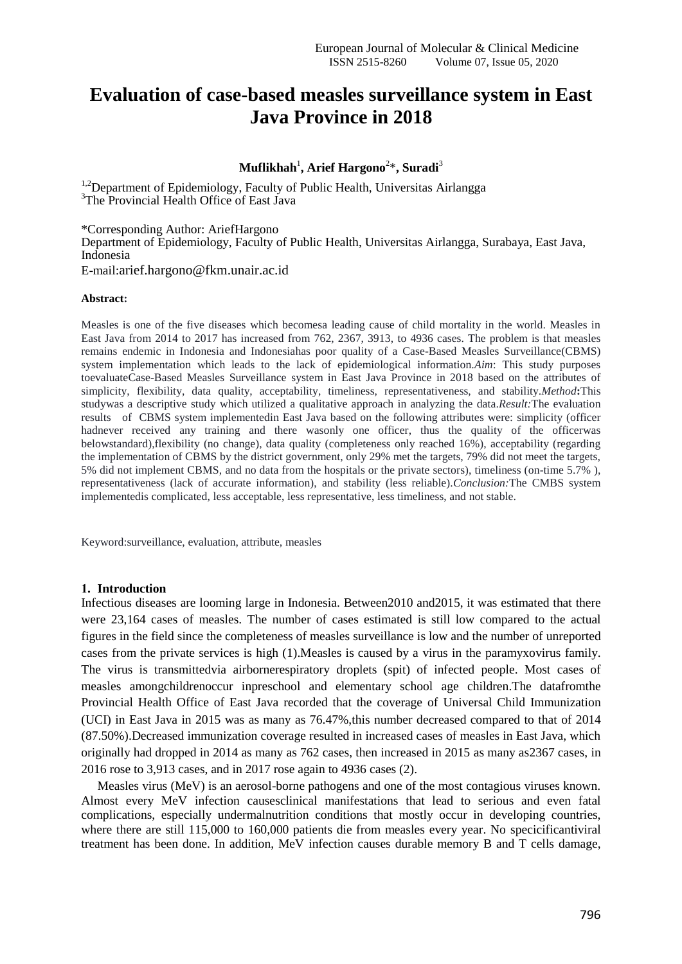# **Evaluation of case-based measles surveillance system in East Java Province in 2018**

# $\mathbf{Multipikhah}^{1}, \mathbf{Arief Hargono}^{2*}, \mathbf{Suradi}^{3}$

<sup>1,2</sup>Department of Epidemiology, Faculty of Public Health, Universitas Airlangga <sup>3</sup>The Provincial Health Office of East Java

\*Corresponding Author: AriefHargono

Department of Epidemiology, Faculty of Public Health, Universitas Airlangga, Surabaya, East Java, Indonesia

E-mail:arief.hargono@fkm.unair.ac.id

#### **Abstract:**

Measles is one of the five diseases which becomesa leading cause of child mortality in the world. Measles in East Java from 2014 to 2017 has increased from 762, 2367, 3913, to 4936 cases. The problem is that measles remains endemic in Indonesia and Indonesiahas poor quality of a Case-Based Measles Surveillance(CBMS) system implementation which leads to the lack of epidemiological information.*Aim*: This study purposes toevaluateCase-Based Measles Surveillance system in East Java Province in 2018 based on the attributes of simplicity, flexibility, data quality, acceptability, timeliness, representativeness, and stability.*Method***:**This studywas a descriptive study which utilized a qualitative approach in analyzing the data.*Result:*The evaluation results of CBMS system implementedin East Java based on the following attributes were: simplicity (officer hadnever received any training and there wasonly one officer, thus the quality of the officerwas belowstandard),flexibility (no change), data quality (completeness only reached 16%), acceptability (regarding the implementation of CBMS by the district government, only 29% met the targets, 79% did not meet the targets, 5% did not implement CBMS, and no data from the hospitals or the private sectors), timeliness (on-time 5.7% ), representativeness (lack of accurate information), and stability (less reliable).*Conclusion:*The CMBS system implementedis complicated, less acceptable, less representative, less timeliness, and not stable.

Keyword:surveillance, evaluation, attribute, measles

#### **1. Introduction**

Infectious diseases are looming large in Indonesia. Between2010 and2015, it was estimated that there were 23,164 cases of measles. The number of cases estimated is still low compared to the actual figures in the field since the completeness of measles surveillance is low and the number of unreported cases from the private services is high (1).Measles is caused by a virus in the paramyxovirus family. The virus is transmittedvia airbornerespiratory droplets (spit) of infected people. Most cases of measles amongchildrenoccur inpreschool and elementary school age children.The datafromthe Provincial Health Office of East Java recorded that the coverage of Universal Child Immunization (UCI) in East Java in 2015 was as many as 76.47%,this number decreased compared to that of 2014 (87.50%).Decreased immunization coverage resulted in increased cases of measles in East Java, which originally had dropped in 2014 as many as 762 cases, then increased in 2015 as many as2367 cases, in 2016 rose to 3,913 cases, and in 2017 rose again to 4936 cases (2).

Measles virus (MeV) is an aerosol-borne pathogens and one of the most contagious viruses known. Almost every MeV infection causesclinical manifestations that lead to serious and even fatal complications, especially undermalnutrition conditions that mostly occur in developing countries, where there are still 115,000 to 160,000 patients die from measles every year. No specicificantiviral treatment has been done. In addition, MeV infection causes durable memory B and T cells damage,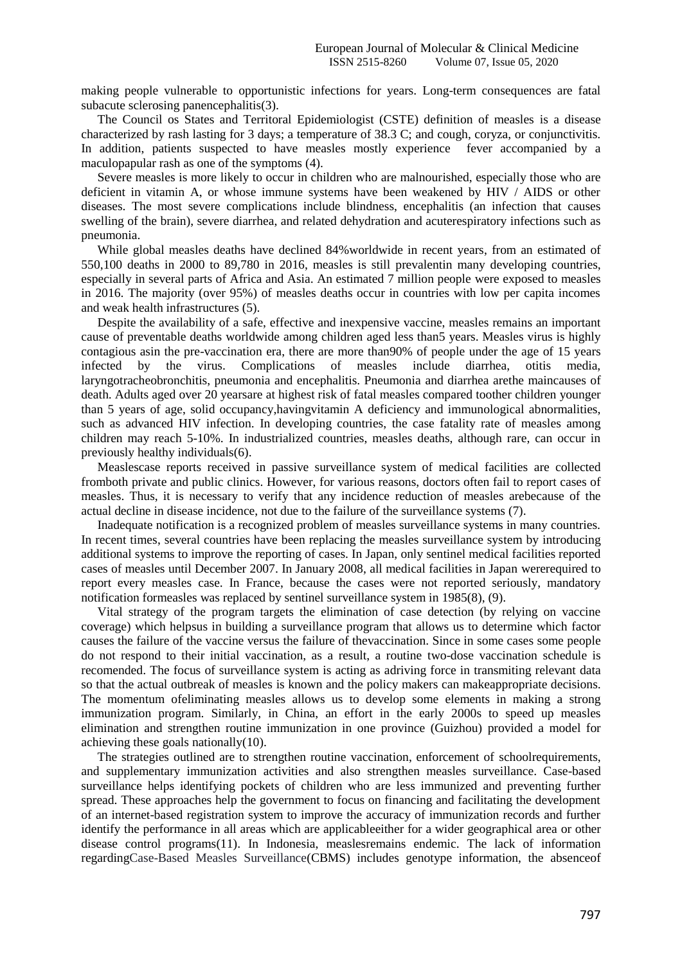making people vulnerable to opportunistic infections for years. Long-term consequences are fatal subacute sclerosing panencephalitis(3).

The Council os States and Territoral Epidemiologist (CSTE) definition of measles is a disease characterized by rash lasting for 3 days; a temperature of 38.3 C; and cough, coryza, or conjunctivitis. In addition, patients suspected to have measles mostly experience fever accompanied by a maculopapular rash as one of the symptoms (4).

Severe measles is more likely to occur in children who are malnourished, especially those who are deficient in vitamin A, or whose immune systems have been weakened by HIV / AIDS or other diseases. The most severe complications include blindness, encephalitis (an infection that causes swelling of the brain), severe diarrhea, and related dehydration and acuterespiratory infections such as pneumonia.

While global measles deaths have declined 84%worldwide in recent years, from an estimated of 550,100 deaths in 2000 to 89,780 in 2016, measles is still prevalentin many developing countries, especially in several parts of Africa and Asia. An estimated 7 million people were exposed to measles in 2016. The majority (over 95%) of measles deaths occur in countries with low per capita incomes and weak health infrastructures (5).

Despite the availability of a safe, effective and inexpensive vaccine, measles remains an important cause of preventable deaths worldwide among children aged less than5 years. Measles virus is highly contagious asin the pre-vaccination era, there are more than90% of people under the age of 15 years infected by the virus. Complications of measles include diarrhea, otitis media, laryngotracheobronchitis, pneumonia and encephalitis. Pneumonia and diarrhea arethe maincauses of death. Adults aged over 20 yearsare at highest risk of fatal measles compared toother children younger than 5 years of age, solid occupancy,havingvitamin A deficiency and immunological abnormalities, such as advanced HIV infection. In developing countries, the case fatality rate of measles among children may reach 5-10%. In industrialized countries, measles deaths, although rare, can occur in previously healthy individuals(6).

Measlescase reports received in passive surveillance system of medical facilities are collected fromboth private and public clinics. However, for various reasons, doctors often fail to report cases of measles. Thus, it is necessary to verify that any incidence reduction of measles arebecause of the actual decline in disease incidence, not due to the failure of the surveillance systems (7).

Inadequate notification is a recognized problem of measles surveillance systems in many countries. In recent times, several countries have been replacing the measles surveillance system by introducing additional systems to improve the reporting of cases. In Japan, only sentinel medical facilities reported cases of measles until December 2007. In January 2008, all medical facilities in Japan wererequired to report every measles case. In France, because the cases were not reported seriously, mandatory notification formeasles was replaced by sentinel surveillance system in 1985(8), (9).

Vital strategy of the program targets the elimination of case detection (by relying on vaccine coverage) which helpsus in building a surveillance program that allows us to determine which factor causes the failure of the vaccine versus the failure of thevaccination. Since in some cases some people do not respond to their initial vaccination, as a result, a routine two-dose vaccination schedule is recomended. The focus of surveillance system is acting as adriving force in transmiting relevant data so that the actual outbreak of measles is known and the policy makers can makeappropriate decisions. The momentum ofeliminating measles allows us to develop some elements in making a strong immunization program. Similarly, in China, an effort in the early 2000s to speed up measles elimination and strengthen routine immunization in one province (Guizhou) provided a model for achieving these goals nationally(10).

The strategies outlined are to strengthen routine vaccination, enforcement of schoolrequirements, and supplementary immunization activities and also strengthen measles surveillance. Case-based surveillance helps identifying pockets of children who are less immunized and preventing further spread. These approaches help the government to focus on financing and facilitating the development of an internet-based registration system to improve the accuracy of immunization records and further identify the performance in all areas which are applicableeither for a wider geographical area or other disease control programs(11). In Indonesia, measlesremains endemic. The lack of information regardingCase-Based Measles Surveillance(CBMS) includes genotype information, the absenceof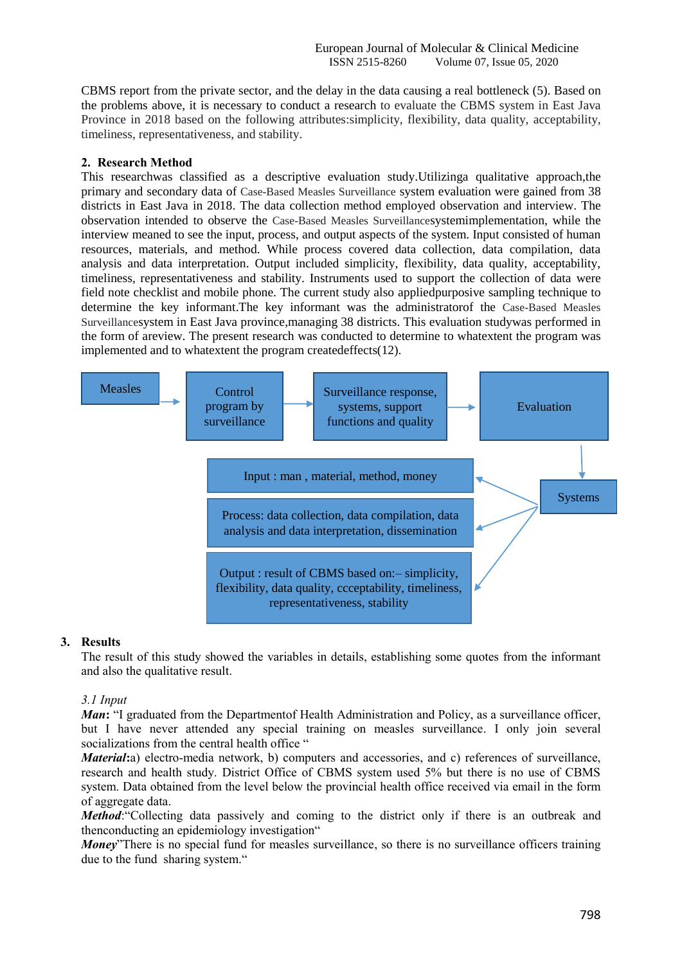CBMS report from the private sector, and the delay in the data causing a real bottleneck (5). Based on the problems above, it is necessary to conduct a research to evaluate the CBMS system in East Java Province in 2018 based on the following attributes:simplicity, flexibility, data quality, acceptability, timeliness, representativeness, and stability.

# **2. Research Method**

This researchwas classified as a descriptive evaluation study.Utilizinga qualitative approach,the primary and secondary data of Case-Based Measles Surveillance system evaluation were gained from 38 districts in East Java in 2018. The data collection method employed observation and interview. The observation intended to observe the Case-Based Measles Surveillancesystemimplementation, while the interview meaned to see the input, process, and output aspects of the system. Input consisted of human resources, materials, and method. While process covered data collection, data compilation, data analysis and data interpretation. Output included simplicity, flexibility, data quality, acceptability, timeliness, representativeness and stability. Instruments used to support the collection of data were field note checklist and mobile phone. The current study also appliedpurposive sampling technique to determine the key informant.The key informant was the administratorof the Case-Based Measles Surveillancesystem in East Java province,managing 38 districts. This evaluation studywas performed in the form of areview. The present research was conducted to determine to whatextent the program was implemented and to whatextent the program createdeffects(12).



# **3. Results**

The result of this study showed the variables in details, establishing some quotes from the informant and also the qualitative result.

# *3.1 Input*

*Man*: "I graduated from the Department Health Administration and Policy, as a surveillance officer, but I have never attended any special training on measles surveillance. I only join several socializations from the central health office "

*Material*:a) electro-media network, b) computers and accessories, and c) references of surveillance, research and health study. District Office of CBMS system used 5% but there is no use of CBMS system. Data obtained from the level below the provincial health office received via email in the form of aggregate data.

*Method*: "Collecting data passively and coming to the district only if there is an outbreak and thenconducting an epidemiology investigation"

*Monev*"There is no special fund for measles surveillance, so there is no surveillance officers training due to the fund sharing system."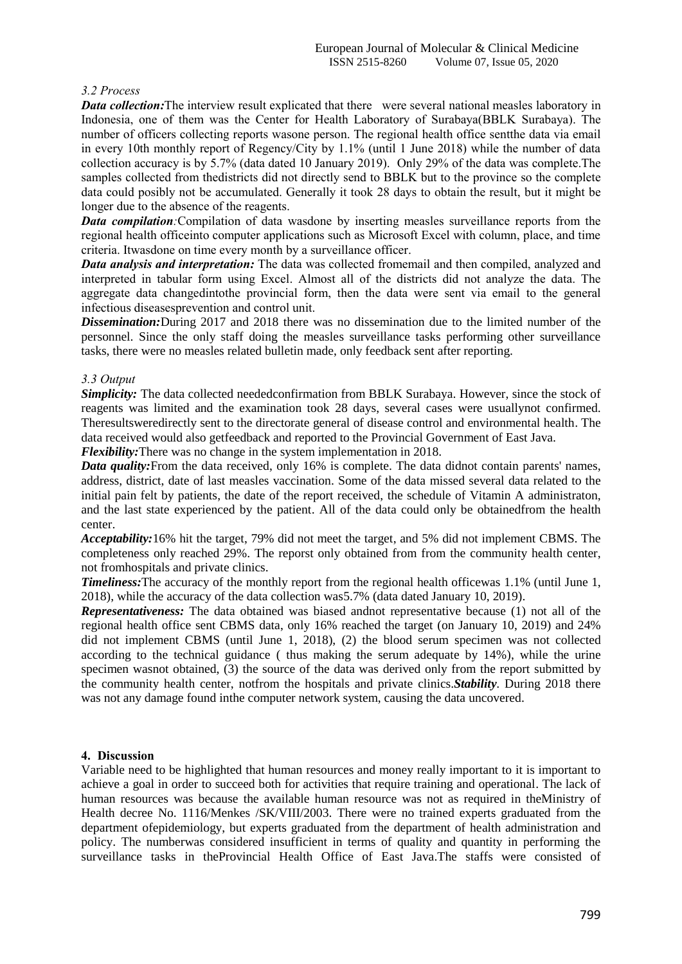# *3.2 Process*

*Data collection:*The interview result explicated that there were several national measles laboratory in Indonesia, one of them was the Center for Health Laboratory of Surabaya(BBLK Surabaya). The number of officers collecting reports wasone person. The regional health office sentthe data via email in every 10th monthly report of Regency/City by 1.1% (until 1 June 2018) while the number of data collection accuracy is by 5.7% (data dated 10 January 2019). Only 29% of the data was complete.The samples collected from thedistricts did not directly send to BBLK but to the province so the complete data could posibly not be accumulated. Generally it took 28 days to obtain the result, but it might be longer due to the absence of the reagents.

*Data compilation*: Compilation of data wasdone by inserting measles surveillance reports from the regional health officeinto computer applications such as Microsoft Excel with column, place, and time criteria. Itwasdone on time every month by a surveillance officer.

*Data analysis and interpretation:* The data was collected fromemail and then compiled, analyzed and interpreted in tabular form using Excel. Almost all of the districts did not analyze the data. The aggregate data changedintothe provincial form, then the data were sent via email to the general infectious diseasesprevention and control unit.

*Dissemination:*During 2017 and 2018 there was no dissemination due to the limited number of the personnel. Since the only staff doing the measles surveillance tasks performing other surveillance tasks, there were no measles related bulletin made, only feedback sent after reporting.

# *3.3 Output*

*Simplicity:* The data collected neededconfirmation from BBLK Surabaya. However, since the stock of reagents was limited and the examination took 28 days, several cases were usuallynot confirmed. Theresultsweredirectly sent to the directorate general of disease control and environmental health. The data received would also getfeedback and reported to the Provincial Government of East Java.

*Flexibility:*There was no change in the system implementation in 2018.

*Data quality:* From the data received, only 16% is complete. The data didnot contain parents' names, address, district, date of last measles vaccination. Some of the data missed several data related to the initial pain felt by patients, the date of the report received, the schedule of Vitamin A administraton, and the last state experienced by the patient. All of the data could only be obtainedfrom the health center.

*Acceptability:*16% hit the target, 79% did not meet the target, and 5% did not implement CBMS. The completeness only reached 29%. The reporst only obtained from from the community health center, not fromhospitals and private clinics.

*Timeliness:* The accuracy of the monthly report from the regional health officewas 1.1% (until June 1, 2018), while the accuracy of the data collection was5.7% (data dated January 10, 2019).

*Representativeness:* The data obtained was biased andnot representative because (1) not all of the regional health office sent CBMS data, only 16% reached the target (on January 10, 2019) and 24% did not implement CBMS (until June 1, 2018), (2) the blood serum specimen was not collected according to the technical guidance ( thus making the serum adequate by 14%), while the urine specimen wasnot obtained, (3) the source of the data was derived only from the report submitted by the community health center, notfrom the hospitals and private clinics.*Stability.* During 2018 there was not any damage found inthe computer network system, causing the data uncovered.

# **4. Discussion**

Variable need to be highlighted that human resources and money really important to it is important to achieve a goal in order to succeed both for activities that require training and operational. The lack of human resources was because the available human resource was not as required in theMinistry of Health decree No. 1116/Menkes /SK/VIII/2003. There were no trained experts graduated from the department ofepidemiology, but experts graduated from the department of health administration and policy. The numberwas considered insufficient in terms of quality and quantity in performing the surveillance tasks in theProvincial Health Office of East Java.The staffs were consisted of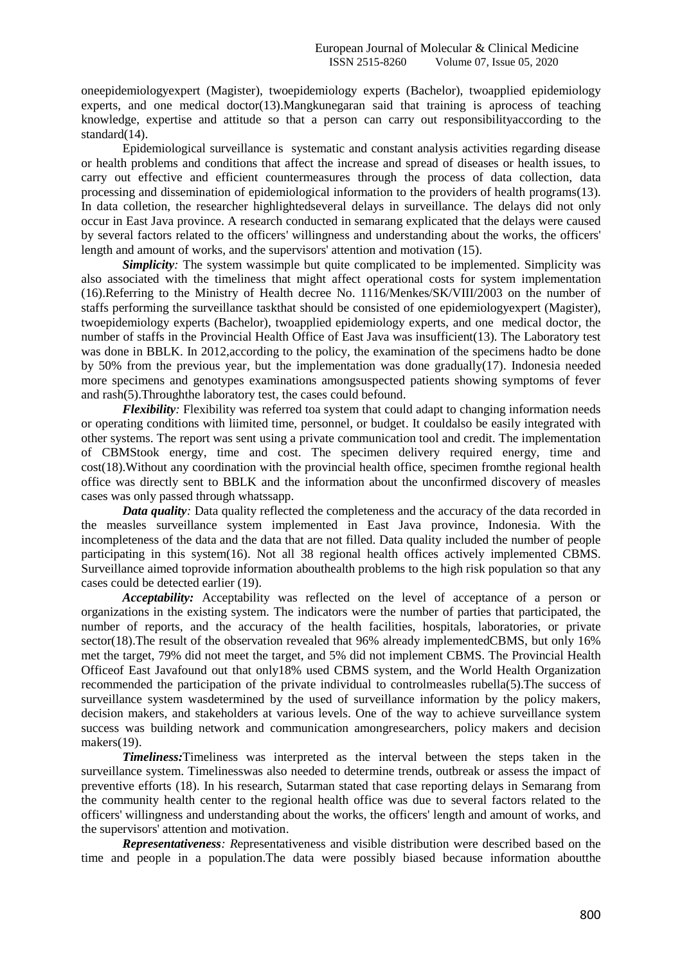oneepidemiologyexpert (Magister), twoepidemiology experts (Bachelor), twoapplied epidemiology experts, and one medical doctor(13).Mangkunegaran said that training is aprocess of teaching knowledge, expertise and attitude so that a person can carry out responsibilityaccording to the standard(14).

Epidemiological surveillance is systematic and constant analysis activities regarding disease or health problems and conditions that affect the increase and spread of diseases or health issues, to carry out effective and efficient countermeasures through the process of data collection, data processing and dissemination of epidemiological information to the providers of health programs(13). In data colletion, the researcher highlightedseveral delays in surveillance. The delays did not only occur in East Java province. A research conducted in semarang explicated that the delays were caused by several factors related to the officers' willingness and understanding about the works, the officers' length and amount of works, and the supervisors' attention and motivation (15).

*Simplicity*: The system wassimple but quite complicated to be implemented. Simplicity was also associated with the timeliness that might affect operational costs for system implementation (16).Referring to the Ministry of Health decree No. 1116/Menkes/SK/VIII/2003 on the number of staffs performing the surveillance taskthat should be consisted of one epidemiologyexpert (Magister), twoepidemiology experts (Bachelor), twoapplied epidemiology experts, and one medical doctor, the number of staffs in the Provincial Health Office of East Java was insufficient(13). The Laboratory test was done in BBLK. In 2012,according to the policy, the examination of the specimens hadto be done by 50% from the previous year, but the implementation was done gradually(17). Indonesia needed more specimens and genotypes examinations amongsuspected patients showing symptoms of fever and rash(5).Throughthe laboratory test, the cases could befound.

*Flexibility*: Flexibility was referred toa system that could adapt to changing information needs or operating conditions with liimited time, personnel, or budget. It couldalso be easily integrated with other systems. The report was sent using a private communication tool and credit. The implementation of CBMStook energy, time and cost. The specimen delivery required energy, time and cost(18).Without any coordination with the provincial health office, specimen fromthe regional health office was directly sent to BBLK and the information about the unconfirmed discovery of measles cases was only passed through whatssapp.

*Data quality*: Data quality reflected the completeness and the accuracy of the data recorded in the measles surveillance system implemented in East Java province, Indonesia. With the incompleteness of the data and the data that are not filled. Data quality included the number of people participating in this system(16). Not all 38 regional health offices actively implemented CBMS. Surveillance aimed toprovide information abouthealth problems to the high risk population so that any cases could be detected earlier (19).

*Acceptability:* Acceptability was reflected on the level of acceptance of a person or organizations in the existing system. The indicators were the number of parties that participated, the number of reports, and the accuracy of the health facilities, hospitals, laboratories, or private sector(18). The result of the observation revealed that 96% already implemented CBMS, but only 16% met the target, 79% did not meet the target, and 5% did not implement CBMS. The Provincial Health Officeof East Javafound out that only18% used CBMS system, and the World Health Organization recommended the participation of the private individual to controlmeasles rubella(5).The success of surveillance system wasdetermined by the used of surveillance information by the policy makers, decision makers, and stakeholders at various levels. One of the way to achieve surveillance system success was building network and communication amongresearchers, policy makers and decision makers(19).

*Timeliness:*Timeliness was interpreted as the interval between the steps taken in the surveillance system. Timelinesswas also needed to determine trends, outbreak or assess the impact of preventive efforts (18). In his research, Sutarman stated that case reporting delays in Semarang from the community health center to the regional health office was due to several factors related to the officers' willingness and understanding about the works, the officers' length and amount of works, and the supervisors' attention and motivation.

*Representativeness: R*epresentativeness and visible distribution were described based on the time and people in a population.The data were possibly biased because information aboutthe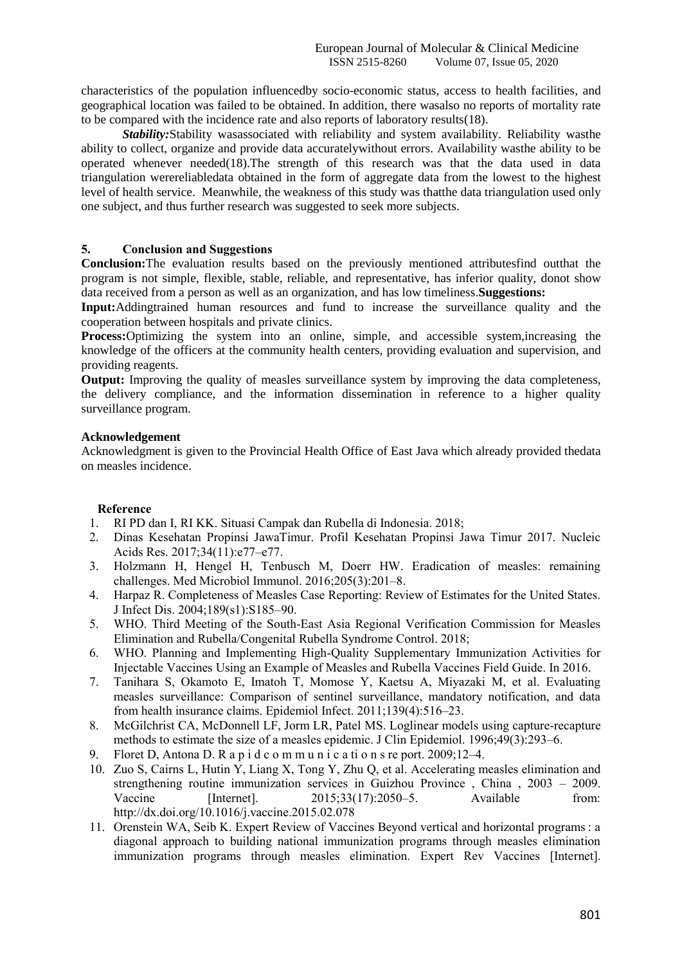characteristics of the population influencedby socio-economic status, access to health facilities, and geographical location was failed to be obtained. In addition, there wasalso no reports of mortality rate to be compared with the incidence rate and also reports of laboratory results(18).

*Stability:*Stability wasassociated with reliability and system availability. Reliability wasthe ability to collect, organize and provide data accuratelywithout errors. Availability wasthe ability to be operated whenever needed $(18)$ . The strength of this research was that the data used in data triangulation werereliabledata obtained in the form of aggregate data from the lowest to the highest level of health service. Meanwhile, the weakness of this study was thatthe data triangulation used only one subject, and thus further research was suggested to seek more subjects.

# **5. Conclusion and Suggestions**

**Conclusion:**The evaluation results based on the previously mentioned attributesfind outthat the program is not simple, flexible, stable, reliable, and representative, has inferior quality, donot show data received from a person as well as an organization, and has low timeliness.**Suggestions:** 

**Input:**Addingtrained human resources and fund to increase the surveillance quality and the cooperation between hospitals and private clinics.

**Process:**Optimizing the system into an online, simple, and accessible system, increasing the knowledge of the officers at the community health centers, providing evaluation and supervision, and providing reagents.

**Output:** Improving the quality of measles surveillance system by improving the data completeness, the delivery compliance, and the information dissemination in reference to a higher quality surveillance program.

# **Acknowledgement**

Acknowledgment is given to the Provincial Health Office of East Java which already provided thedata on measles incidence.

# **Reference**

- 1. RI PD dan I, RI KK. Situasi Campak dan Rubella di Indonesia. 2018;
- 2. Dinas Kesehatan Propinsi JawaTimur. Profil Kesehatan Propinsi Jawa Timur 2017. Nucleic Acids Res. 2017;34(11):e77–e77.
- 3. Holzmann H, Hengel H, Tenbusch M, Doerr HW. Eradication of measles: remaining challenges. Med Microbiol Immunol. 2016;205(3):201–8.
- 4. Harpaz R. Completeness of Measles Case Reporting: Review of Estimates for the United States. J Infect Dis. 2004;189(s1):S185–90.
- 5. WHO. Third Meeting of the South-East Asia Regional Verification Commission for Measles Elimination and Rubella/Congenital Rubella Syndrome Control. 2018;
- 6. WHO. Planning and Implementing High-Quality Supplementary Immunization Activities for Injectable Vaccines Using an Example of Measles and Rubella Vaccines Field Guide. In 2016.
- 7. Tanihara S, Okamoto E, Imatoh T, Momose Y, Kaetsu A, Miyazaki M, et al. Evaluating measles surveillance: Comparison of sentinel surveillance, mandatory notification, and data from health insurance claims. Epidemiol Infect. 2011;139(4):516–23.
- 8. McGilchrist CA, McDonnell LF, Jorm LR, Patel MS. Loglinear models using capture-recapture methods to estimate the size of a measles epidemic. J Clin Epidemiol. 1996;49(3):293–6.
- 9. Floret D, Antona D. R a p i d c o m m u n i c a ti o n s re port. 2009;12–4.
- 10. Zuo S, Cairns L, Hutin Y, Liang X, Tong Y, Zhu Q, et al. Accelerating measles elimination and strengthening routine immunization services in Guizhou Province , China , 2003 – 2009. Vaccine [Internet]. 2015:33(17):2050–5. Available from: http://dx.doi.org/10.1016/j.vaccine.2015.02.078
- 11. Orenstein WA, Seib K. Expert Review of Vaccines Beyond vertical and horizontal programs : a diagonal approach to building national immunization programs through measles elimination immunization programs through measles elimination. Expert Rev Vaccines [Internet].